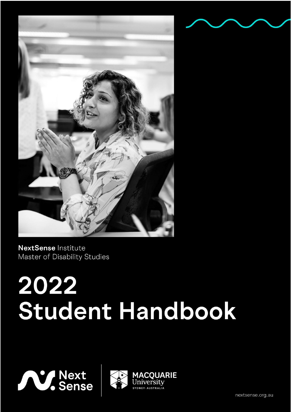

NextSense Institute Master of Disability Studies

# 2022 Student Handbook





nextsense.org.au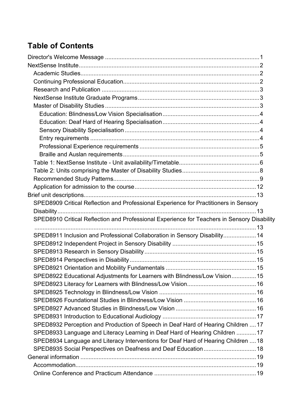# **Table of Contents**

| SPED8909 Critical Reflection and Professional Experience for Practitioners in Sensory       |  |
|---------------------------------------------------------------------------------------------|--|
|                                                                                             |  |
| SPED8910 Critical Reflection and Professional Experience for Teachers in Sensory Disability |  |
|                                                                                             |  |
| SPED8911 Inclusion and Professional Collaboration in Sensory Disability 14                  |  |
|                                                                                             |  |
|                                                                                             |  |
|                                                                                             |  |
|                                                                                             |  |
| SPED8922 Educational Adjustments for Learners with Blindness/Low Vision 15                  |  |
|                                                                                             |  |
|                                                                                             |  |
|                                                                                             |  |
|                                                                                             |  |
|                                                                                             |  |
| SPED8932 Perception and Production of Speech in Deaf Hard of Hearing Children  17           |  |
| SPED8933 Language and Literacy Learning in Deaf Hard of Hearing Children  17                |  |
| SPED8934 Language and Literacy Interventions for Deaf Hard of Hearing Children  18          |  |
| SPED8935 Social Perspectives on Deafness and Deaf Education 18                              |  |
|                                                                                             |  |
|                                                                                             |  |
|                                                                                             |  |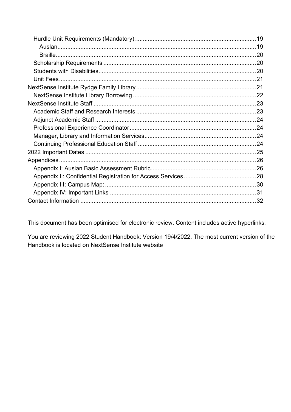This document has been optimised for electronic review. Content includes active hyperlinks.

You are reviewing 2022 Student Handbook: Version 19/4/2022. The most current version of the Handbook is located on NextSense Institute website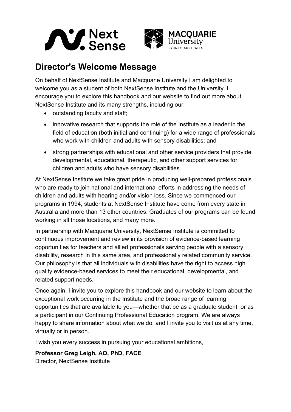



# <span id="page-4-0"></span>**Director's Welcome Message**

On behalf of NextSense Institute and Macquarie University I am delighted to welcome you as a student of both NextSense Institute and the University. I encourage you to explore this handbook and our website to find out more about NextSense Institute and its many strengths, including our:

- outstanding faculty and staff;
- innovative research that supports the role of the Institute as a leader in the field of education (both initial and continuing) for a wide range of professionals who work with children and adults with sensory disabilities; and
- strong partnerships with educational and other service providers that provide developmental, educational, therapeutic, and other support services for children and adults who have sensory disabilities.

At NextSense Institute we take great pride in producing well-prepared professionals who are ready to join national and international efforts in addressing the needs of children and adults with hearing and/or vision loss. Since we commenced our programs in 1994, students at NextSense Institute have come from every state in Australia and more than 13 other countries. Graduates of our programs can be found working in all those locations, and many more.

In partnership with Macquarie University, NextSense Institute is committed to continuous improvement and review in its provision of evidence-based learning opportunities for teachers and allied professionals serving people with a sensory disability, research in this same area, and professionally related community service. Our philosophy is that all individuals with disabilities have the right to access high quality evidence-based services to meet their educational, developmental, and related support needs.

Once again, I invite you to explore this handbook and our website to learn about the exceptional work occurring in the Institute and the broad range of learning opportunities that are available to you—whether that be as a graduate student, or as a participant in our Continuing Professional Education program. We are always happy to share information about what we do, and I invite you to visit us at any time, virtually or in person.

I wish you every success in pursuing your educational ambitions,

#### **Professor Greg Leigh, AO, PhD, FACE**

Director, NextSense Institute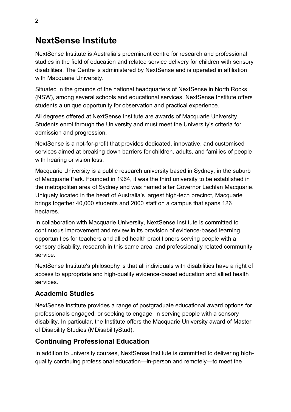# <span id="page-5-0"></span>**NextSense Institute**

NextSense Institute is Australia's preeminent centre for research and professional studies in the field of education and related service delivery for children with sensory disabilities. The Centre is administered by NextSense and is operated in affiliation with Macquarie University.

Situated in the grounds of the national headquarters of NextSense in North Rocks (NSW), among several schools and educational services, NextSense Institute offers students a unique opportunity for observation and practical experience.

All degrees offered at NextSense Institute are awards of Macquarie University. Students enrol through the University and must meet the University's criteria for admission and progression.

NextSense is a not-for-profit that provides dedicated, innovative, and customised services aimed at breaking down barriers for children, adults, and families of people with hearing or vision loss.

Macquarie University is a public research university based in Sydney, in the suburb of Macquarie Park. Founded in 1964, it was the third university to be established in the metropolitan area of Sydney and was named after Governor Lachlan Macquarie. Uniquely located in the heart of Australia's largest high-tech precinct, Macquarie brings together 40,000 students and 2000 staff on a campus that spans 126 hectares.

In collaboration with Macquarie University, NextSense Institute is committed to continuous improvement and review in its provision of evidence-based learning opportunities for teachers and allied health practitioners serving people with a sensory disability, research in this same area, and professionally related community service.

NextSense Institute's philosophy is that all individuals with disabilities have a right of access to appropriate and high-quality evidence-based education and allied health services.

#### <span id="page-5-1"></span>**Academic Studies**

NextSense Institute provides a range of postgraduate educational award options for professionals engaged, or seeking to engage, in serving people with a sensory disability. In particular, the Institute offers the Macquarie University award of Master of Disability Studies (MDisabilityStud).

#### <span id="page-5-2"></span>**Continuing Professional Education**

In addition to university courses, NextSense Institute is committed to delivering highquality continuing professional education—in-person and remotely—to meet the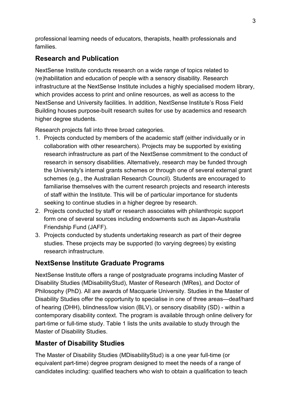professional learning needs of educators, therapists, health professionals and families.

#### <span id="page-6-0"></span>**Research and Publication**

NextSense Institute conducts research on a wide range of topics related to (re)habilitation and education of people with a sensory disability. Research infrastructure at the NextSense Institute includes a highly specialised modern library, which provides access to print and online resources, as well as access to the NextSense and University facilities. In addition, NextSense Institute's Ross Field Building houses purpose-built research suites for use by academics and research higher degree students.

Research projects fall into three broad categories.

- 1. Projects conducted by members of the academic staff (either individually or in collaboration with other researchers). Projects may be supported by existing research infrastructure as part of the NextSense commitment to the conduct of research in sensory disabilities. Alternatively, research may be funded through the University's internal grants schemes or through one of several external grant schemes (e.g., the Australian Research Council). Students are encouraged to familiarise themselves with the current research projects and research interests of staff within the Institute. This will be of particular importance for students seeking to continue studies in a higher degree by research.
- 2. Projects conducted by staff or research associates with philanthropic support form one of several sources including endowments such as Japan-Australia Friendship Fund (JAFF).
- 3. Projects conducted by students undertaking research as part of their degree studies. These projects may be supported (to varying degrees) by existing research infrastructure.

## <span id="page-6-1"></span>**NextSense Institute Graduate Programs**

NextSense Institute offers a range of postgraduate programs including Master of Disability Studies (MDisabilityStud), Master of Research (MRes), and Doctor of Philosophy (PhD). All are awards of Macquarie University. Studies in the Master of Disability Studies offer the opportunity to specialise in one of three areas—deaf/hard of hearing (DHH), blindness/low vision (BLV), or sensory disability (SD) - within a contemporary disability context. The program is available through online delivery for part-time or full-time study. Table 1 lists the units available to study through the Master of Disability Studies.

## <span id="page-6-2"></span>**Master of Disability Studies**

The Master of Disability Studies (MDisabilityStud) is a one year full-time (or equivalent part-time) degree program designed to meet the needs of a range of candidates including: qualified teachers who wish to obtain a qualification to teach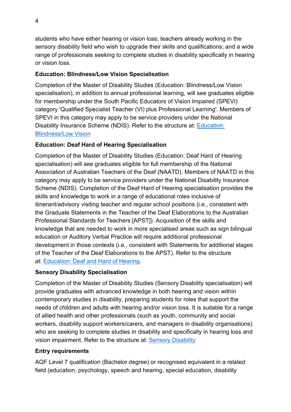students who have either hearing or vision loss; teachers already working in the sensory disability field who wish to upgrade their skills and qualifications; and a wide range of professionals seeking to complete studies in disability specifically in hearing or vision loss.

#### <span id="page-7-0"></span>**Education: Blindness/Low Vision Specialisation**

Completion of the Master of Disability Studies (Education: Blindness/Low Vision specialisation), in addition to annual professional learning, will see graduates eligible for membership under the South Pacific Educators of Vision Impaired (SPEVI) category 'Qualified Specialist Teacher (VI) plus Professional Learning'. Members of SPEVI in this category may apply to be service providers under the National Disability Insurance Scheme (NDIS). Refer to the structure at: [Education:](https://courses.mq.edu.au/2022/domestic/postgraduate/master-of-disability-studies-education-vision-impairment)  [Blindness/Low Vision](https://courses.mq.edu.au/2022/domestic/postgraduate/master-of-disability-studies-education-vision-impairment)

#### <span id="page-7-1"></span>**Education: Deaf Hard of Hearing Specialisation**

Completion of the Master of Disability Studies (Education: Deaf Hard of Hearing specialisation) will see graduates eligible for full membership of the National Association of Australian Teachers of the Deaf (NAATD). Members of NAATD in this category may apply to be service providers under the National Disability Insurance Scheme (NDIS). Completion of the Deaf Hard of Hearing specialisation provides the skills and knowledge to work in a range of educational roles inclusive of itinerant/advisory visiting teacher and regular school positions (i.e., consistent with the Graduate Statements in the Teacher of the Deaf Elaborations to the Australian Professional Standards for Teachers [APST]). Acquisition of the skills and knowledge that are needed to work in more specialised areas such as sign bilingual education or Auditory Verbal Practice will require additional professional development in those contexts (i.e., consistent with Statements for additional stages of the Teacher of the Deaf Elaborations to the APST). Refer to the structure at: [Education: Deaf and Hard of Hearing.](https://courses.mq.edu.au/2022/domestic/postgraduate/master-of-disability-studies-education-deaf-hard-of-hearing)

#### <span id="page-7-2"></span>**Sensory Disability Specialisation**

Completion of the Master of Disability Studies (Sensory Disability specialisation) will provide graduates with advanced knowledge in both hearing and vision within contemporary studies in disability, preparing students for roles that support the needs of children and adults with hearing and/or vision loss. It is suitable for a range of allied health and other professionals (such as youth, community and social workers, disability support workers/carers, and managers in disability organisations) who are seeking to complete studies in disability and specifically in hearing loss and vision impairment. Refer to the structure at: [Sensory Disability](https://courses.mq.edu.au/2022/domestic/postgraduate/master-of-disability-studies-sensory-disability) 

#### <span id="page-7-3"></span>**Entry requirements**

AQF Level 7 qualification (Bachelor degree) or recognised equivalent in a related field (education, psychology, speech and hearing, special education, disability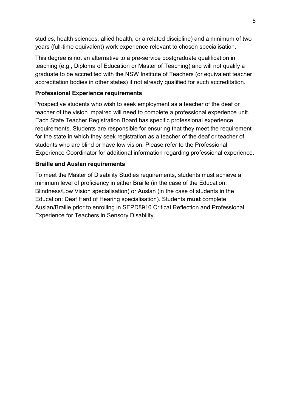studies, health sciences, allied health, or a related discipline) and a minimum of two years (full-time equivalent) work experience relevant to chosen specialisation.

This degree is not an alternative to a pre-service postgraduate qualification in teaching (e.g., Diploma of Education or Master of Teaching) and will not qualify a graduate to be accredited with the NSW Institute of Teachers (or equivalent teacher accreditation bodies in other states) if not already qualified for such accreditation.

#### <span id="page-8-0"></span>**Professional Experience requirements**

Prospective students who wish to seek employment as a teacher of the deaf or teacher of the vision impaired will need to complete a professional experience unit. Each State Teacher Registration Board has specific professional experience requirements. Students are responsible for ensuring that they meet the requirement for the state in which they seek registration as a teacher of the deaf or teacher of students who are blind or have low vision. Please refer to the Professional Experience Coordinator for additional information regarding professional experience.

#### <span id="page-8-1"></span>**Braille and Auslan requirements**

To meet the Master of Disability Studies requirements, students must achieve a minimum level of proficiency in either Braille (in the case of the Education: Blindness/Low Vision specialisation) or Auslan (in the case of students in the Education: Deaf Hard of Hearing specialisation). Students **must** complete Auslan/Braille prior to enrolling in SEPD8910 Critical Reflection and Professional Experience for Teachers in Sensory Disability.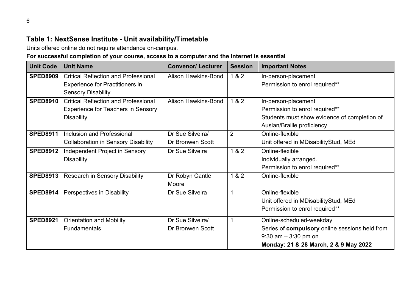## **Table 1: NextSense Institute - Unit availability/Timetable**

Units offered online do not require attendance on-campus.

## **For successful completion of your course, access to a computer and the Internet is essential**

<span id="page-9-0"></span>

| <b>Unit Code</b> | <b>Unit Name</b>                                                                                                   | <b>Convenor/ Lecturer</b>            | <b>Session</b> | <b>Important Notes</b>                                                                                                                         |
|------------------|--------------------------------------------------------------------------------------------------------------------|--------------------------------------|----------------|------------------------------------------------------------------------------------------------------------------------------------------------|
| <b>SPED8909</b>  | <b>Critical Reflection and Professional</b><br><b>Experience for Practitioners in</b><br><b>Sensory Disability</b> | <b>Alison Hawkins-Bond</b>           | 1 & 2          | In-person-placement<br>Permission to enrol required**                                                                                          |
| <b>SPED8910</b>  | <b>Critical Reflection and Professional</b><br><b>Experience for Teachers in Sensory</b><br><b>Disability</b>      | Alison Hawkins-Bond                  | 1 & 2          | In-person-placement<br>Permission to enrol required**<br>Students must show evidence of completion of<br>Auslan/Braille proficiency            |
| <b>SPED8911</b>  | Inclusion and Professional<br><b>Collaboration in Sensory Disability</b>                                           | Dr Sue Silveira/<br>Dr Bronwen Scott | $\overline{2}$ | Online-flexible<br>Unit offered in MDisabilityStud, MEd                                                                                        |
| <b>SPED8912</b>  | Independent Project in Sensory<br><b>Disability</b>                                                                | Dr Sue Silveira                      | 1 & 2          | Online-flexible<br>Individually arranged.<br>Permission to enrol required**                                                                    |
| <b>SPED8913</b>  | <b>Research in Sensory Disability</b>                                                                              | Dr Robyn Cantle<br>Moore             | 1 & 2          | Online-flexible                                                                                                                                |
| <b>SPED8914</b>  | Perspectives in Disability                                                                                         | Dr Sue Silveira                      |                | Online-flexible<br>Unit offered in MDisabilityStud, MEd<br>Permission to enrol required**                                                      |
| <b>SPED8921</b>  | <b>Orientation and Mobility</b><br><b>Fundamentals</b>                                                             | Dr Sue Silveira/<br>Dr Bronwen Scott |                | Online-scheduled-weekday<br>Series of compulsory online sessions held from<br>$9:30$ am $-3:30$ pm on<br>Monday: 21 & 28 March, 2 & 9 May 2022 |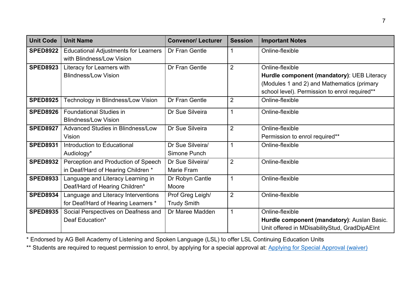| <b>Unit Code</b> | <b>Unit Name</b>                                                           | <b>Convenor/ Lecturer</b>              | <b>Session</b> | <b>Important Notes</b>                                                                                                                                       |
|------------------|----------------------------------------------------------------------------|----------------------------------------|----------------|--------------------------------------------------------------------------------------------------------------------------------------------------------------|
| <b>SPED8922</b>  | <b>Educational Adjustments for Learners</b><br>with Blindness/Low Vision   | Dr Fran Gentle                         |                | Online-flexible                                                                                                                                              |
| <b>SPED8923</b>  | Literacy for Learners with<br><b>Blindness/Low Vision</b>                  | Dr Fran Gentle                         | 2              | Online-flexible<br>Hurdle component (mandatory): UEB Literacy<br>(Modules 1 and 2) and Mathematics (primary<br>school level). Permission to enrol required** |
| <b>SPED8925</b>  | Technology in Blindness/Low Vision                                         | Dr Fran Gentle                         | $\overline{2}$ | Online-flexible                                                                                                                                              |
| <b>SPED8926</b>  | <b>Foundational Studies in</b><br><b>Blindness/Low Vision</b>              | Dr Sue Silveira                        | $\mathbf 1$    | Online-flexible                                                                                                                                              |
| <b>SPED8927</b>  | Advanced Studies in Blindness/Low<br>Vision                                | Dr Sue Silveira                        | 2              | Online-flexible<br>Permission to enrol required**                                                                                                            |
| <b>SPED8931</b>  | Introduction to Educational<br>Audiology*                                  | Dr Sue Silveira/<br>Simone Punch       | $\mathbf 1$    | Online-flexible                                                                                                                                              |
| <b>SPED8932</b>  | Perception and Production of Speech<br>in Deaf/Hard of Hearing Children *  | Dr Sue Silveira/<br>Marie Fram         | $\overline{2}$ | Online-flexible                                                                                                                                              |
| <b>SPED8933</b>  | Language and Literacy Learning in<br>Deaf/Hard of Hearing Children*        | Dr Robyn Cantle<br>Moore               | 1              | Online-flexible                                                                                                                                              |
| <b>SPED8934</b>  | Language and Literacy Interventions<br>for Deaf/Hard of Hearing Learners * | Prof Greg Leigh/<br><b>Trudy Smith</b> | 2              | Online-flexible                                                                                                                                              |
| <b>SPED8935</b>  | Social Perspectives on Deafness and<br>Deaf Education*                     | Dr Maree Madden                        | $\mathbf{1}$   | Online-flexible<br>Hurdle component (mandatory): Auslan Basic.<br>Unit offered in MDisabilityStud, GradDipAEInt                                              |

\* Endorsed by AG Bell Academy of Listening and Spoken Language (LSL) to offer LSL Continuing Education Units

\*\* Students are required to request permission to enrol, by applying for a special approval at: [Applying for Special Approval \(waiver\)](https://students.mq.edu.au/study/enrolling/choosing-units/unit-waivers/application-process)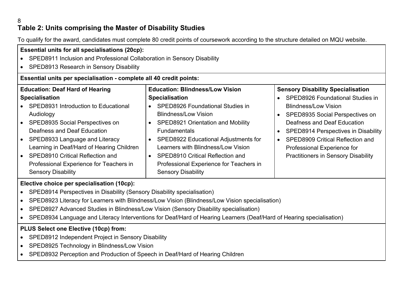#### 8 **Table 2: Units comprising the Master of Disability Studies**

To qualify for the award, candidates must complete 80 credit points of coursework according to the structure detailed on MQU website.

| <b>Essential units for all specialisations (20cp):</b><br>SPED8911 Inclusion and Professional Collaboration in Sensory Disability<br>SPED8913 Research in Sensory Disability                                                                                                                                                                                                                                         |                                                                                                                                                                                                                                                                                                                                                                                                                                               |                                                                                                                                                                                                                                                                                                                                                                        |  |  |  |  |  |
|----------------------------------------------------------------------------------------------------------------------------------------------------------------------------------------------------------------------------------------------------------------------------------------------------------------------------------------------------------------------------------------------------------------------|-----------------------------------------------------------------------------------------------------------------------------------------------------------------------------------------------------------------------------------------------------------------------------------------------------------------------------------------------------------------------------------------------------------------------------------------------|------------------------------------------------------------------------------------------------------------------------------------------------------------------------------------------------------------------------------------------------------------------------------------------------------------------------------------------------------------------------|--|--|--|--|--|
| Essential units per specialisation - complete all 40 credit points:                                                                                                                                                                                                                                                                                                                                                  |                                                                                                                                                                                                                                                                                                                                                                                                                                               |                                                                                                                                                                                                                                                                                                                                                                        |  |  |  |  |  |
| <b>Education: Deaf Hard of Hearing</b><br><b>Specialisation</b><br>• SPED8931 Introduction to Educational<br>Audiology<br>SPED8935 Social Perspectives on<br>$\bullet$<br>Deafness and Deaf Education<br>SPED8933 Language and Literacy<br>$\bullet$<br>Learning in Deaf/Hard of Hearing Children<br><b>SPED8910 Critical Reflection and</b><br>Professional Experience for Teachers in<br><b>Sensory Disability</b> | <b>Education: Blindness/Low Vision</b><br><b>Specialisation</b><br>SPED8926 Foundational Studies in<br><b>Blindness/Low Vision</b><br><b>SPED8921 Orientation and Mobility</b><br>$\bullet$<br><b>Fundamentals</b><br>SPED8922 Educational Adjustments for<br>$\bullet$<br>Learners with Blindness/Low Vision<br><b>SPED8910 Critical Reflection and</b><br>$\bullet$<br>Professional Experience for Teachers in<br><b>Sensory Disability</b> | <b>Sensory Disability Specialisation</b><br>SPED8926 Foundational Studies in<br><b>Blindness/Low Vision</b><br>SPED8935 Social Perspectives on<br>$\bullet$<br>Deafness and Deaf Education<br>SPED8914 Perspectives in Disability<br><b>SPED8909 Critical Reflection and</b><br>$\bullet$<br>Professional Experience for<br><b>Practitioners in Sensory Disability</b> |  |  |  |  |  |
| Elective choice per specialisation (10cp):                                                                                                                                                                                                                                                                                                                                                                           |                                                                                                                                                                                                                                                                                                                                                                                                                                               |                                                                                                                                                                                                                                                                                                                                                                        |  |  |  |  |  |
| SPED8914 Perspectives in Disability (Sensory Disability specialisation)<br>$\bullet$                                                                                                                                                                                                                                                                                                                                 |                                                                                                                                                                                                                                                                                                                                                                                                                                               |                                                                                                                                                                                                                                                                                                                                                                        |  |  |  |  |  |
|                                                                                                                                                                                                                                                                                                                                                                                                                      | SPED8923 Literacy for Learners with Blindness/Low Vision (Blindness/Low Vision specialisation)                                                                                                                                                                                                                                                                                                                                                |                                                                                                                                                                                                                                                                                                                                                                        |  |  |  |  |  |
| SPED8927 Advanced Studies in Blindness/Low Vision (Sensory Disability specialisation)                                                                                                                                                                                                                                                                                                                                |                                                                                                                                                                                                                                                                                                                                                                                                                                               |                                                                                                                                                                                                                                                                                                                                                                        |  |  |  |  |  |

<span id="page-11-0"></span>• SPED8934 Language and Literacy Interventions for Deaf/Hard of Hearing Learners (Deaf/Hard of Hearing specialisation)

#### **PLUS Select one Elective (10cp) from:**

- SPED8912 Independent Project in Sensory Disability
- SPED8925 Technology in Blindness/Low Vision
- SPED8932 Perception and Production of Speech in Deaf/Hard of Hearing Children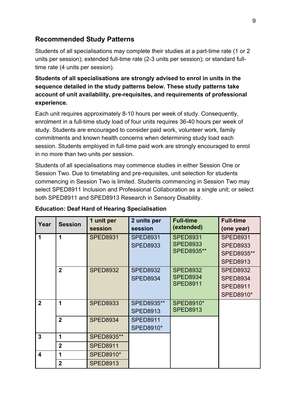#### <span id="page-12-0"></span>**Recommended Study Patterns**

Students of all specialisations may complete their studies at a part-time rate (1 or 2 units per session); extended full-time rate (2-3 units per session); or standard fulltime rate (4 units per session).

#### **Students of all specialisations are strongly advised to enrol in units in the sequence detailed in the study patterns below. These study patterns take account of unit availability, pre-requisites, and requirements of professional experience.**

Each unit requires approximately 8-10 hours per week of study. Consequently, enrolment in a full-time study load of four units requires 36-40 hours per week of study. Students are encouraged to consider paid work, volunteer work, family commitments and known health concerns when determining study load each session. Students employed in full-time paid work are strongly encouraged to enrol in no more than two units per session.

Students of all specialisations may commence studies in either Session One or Session Two. Due to timetabling and pre-requisites, unit selection for students commencing in Session Two is limited. Students commencing in Session Two may select SPED8911 Inclusion and Professional Collaboration as a single unit; or select both SPED8911 and SPED8913 Research in Sensory Disability.

| Year             | <b>Session</b> | 1 unit per<br>session | 2 units per<br>session              | <b>Full-time</b><br>(extended)                          | <b>Full-time</b><br>(one year)                                            |
|------------------|----------------|-----------------------|-------------------------------------|---------------------------------------------------------|---------------------------------------------------------------------------|
| 1                | 1              | <b>SPED8931</b>       | <b>SPED8931</b><br><b>SPED8933</b>  | <b>SPED8931</b><br><b>SPED8933</b><br><b>SPED8935**</b> | <b>SPED8931</b><br><b>SPED8933</b><br>SPED8935**<br><b>SPED8913</b>       |
|                  | $\mathbf{2}$   | <b>SPED8932</b>       | <b>SPED8932</b><br><b>SPED8934</b>  | <b>SPED8932</b><br><b>SPED8934</b><br><b>SPED8911</b>   | <b>SPED8932</b><br><b>SPED8934</b><br><b>SPED8911</b><br><b>SPED8910*</b> |
| $\overline{2}$   | 1              | <b>SPED8933</b>       | SPED8935**<br><b>SPED8913</b>       | <b>SPED8910*</b><br><b>SPED8913</b>                     |                                                                           |
|                  | $\overline{2}$ | <b>SPED8934</b>       | <b>SPED8911</b><br><b>SPED8910*</b> |                                                         |                                                                           |
| 3                | 1              | SPED8935**            |                                     |                                                         |                                                                           |
|                  | $\overline{2}$ | <b>SPED8911</b>       |                                     |                                                         |                                                                           |
| $\boldsymbol{4}$ | 1              | <b>SPED8910*</b>      |                                     |                                                         |                                                                           |
|                  | $\overline{2}$ | <b>SPED8913</b>       |                                     |                                                         |                                                                           |

#### **Education: Deaf Hard of Hearing Specialisation**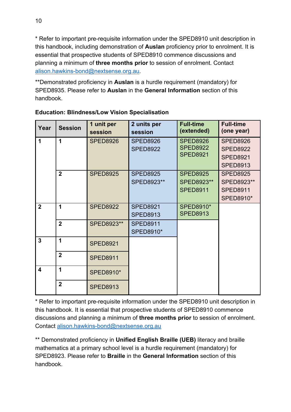\* Refer to important pre-requisite information under the SPED8910 unit description in this handbook, including demonstration of **Auslan** proficiency prior to enrolment. It is essential that prospective students of SPED8910 commence discussions and planning a minimum of **three months prior** to session of enrolment. Contact [alison.hawkins-bond@nextsense.org.au.](mailto:alison.hawkins-bond@nextsense.org.au)

\*\*Demonstrated proficiency in **Auslan** is a hurdle requirement (mandatory) for SPED8935. Please refer to **Auslan** in the **General Information** section of this handbook.

| Year                    | <b>Session</b> | 1 unit per<br>session | 2 units per<br>session              | <b>Full-time</b><br>(extended)                        | <b>Full-time</b><br>(one year)                                           |
|-------------------------|----------------|-----------------------|-------------------------------------|-------------------------------------------------------|--------------------------------------------------------------------------|
| 1                       | 1              | <b>SPED8926</b>       | <b>SPED8926</b><br><b>SPED8922</b>  | <b>SPED8926</b><br><b>SPED8922</b><br><b>SPED8921</b> | <b>SPED8926</b><br><b>SPED8922</b><br><b>SPED8921</b><br><b>SPED8913</b> |
|                         | $\overline{2}$ | <b>SPED8925</b>       | <b>SPED8925</b><br>SPED8923**       | <b>SPED8925</b><br>SPED8923**<br><b>SPED8911</b>      | <b>SPED8925</b><br>SPED8923**<br><b>SPED8911</b><br><b>SPED8910*</b>     |
| $\overline{2}$          | 1              | <b>SPED8922</b>       | <b>SPED8921</b><br><b>SPED8913</b>  | <b>SPED8910*</b><br><b>SPED8913</b>                   |                                                                          |
|                         | $\overline{2}$ | SPED8923**            | <b>SPED8911</b><br><b>SPED8910*</b> |                                                       |                                                                          |
| $\mathbf{3}$            | 1              | <b>SPED8921</b>       |                                     |                                                       |                                                                          |
|                         | $\overline{2}$ | <b>SPED8911</b>       |                                     |                                                       |                                                                          |
| $\overline{\mathbf{A}}$ | 1              | <b>SPED8910*</b>      |                                     |                                                       |                                                                          |
|                         | $\overline{2}$ | <b>SPED8913</b>       |                                     |                                                       |                                                                          |

#### **Education: Blindness/Low Vision Specialisation**

\* Refer to important pre-requisite information under the SPED8910 unit description in this handbook. It is essential that prospective students of SPED8910 commence discussions and planning a minimum of **three months prior** to session of enrolment. Contact [alison.hawkins-bond@nextsense.org.au](mailto:alison.hawkins-bond@nextsense.org.au)

\*\* Demonstrated proficiency in **Unified English Braille (UEB)** literacy and braille mathematics at a primary school level is a hurdle requirement (mandatory) for SPED8923. Please refer to **Braille** in the **General Information** section of this handbook.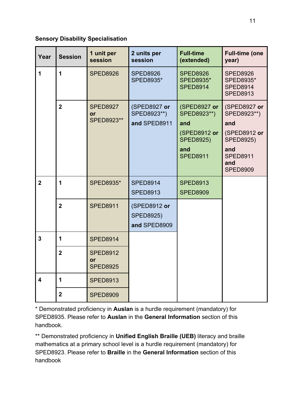#### **Sensory Disability Specialisation**

| Year                    | <b>Session</b> | 1 unit per<br>session                    | 2 units per<br>session                           | <b>Full-time</b><br>(extended)                                                                   | <b>Full-time (one</b><br>year)                                                                                             |
|-------------------------|----------------|------------------------------------------|--------------------------------------------------|--------------------------------------------------------------------------------------------------|----------------------------------------------------------------------------------------------------------------------------|
| 1                       | 1              | <b>SPED8926</b>                          | <b>SPED8926</b><br><b>SPED8935*</b>              | <b>SPED8926</b><br><b>SPED8935*</b><br><b>SPED8914</b>                                           | <b>SPED8926</b><br><b>SPED8935*</b><br><b>SPED8914</b><br><b>SPED8913</b>                                                  |
|                         | $\overline{2}$ | <b>SPED8927</b><br>or<br>SPED8923**      | (SPED8927 or<br>SPED8923**)<br>and SPED8911      | (SPED8927 or<br>SPED8923**)<br>and<br>(SPED8912 or<br><b>SPED8925)</b><br>and<br><b>SPED8911</b> | (SPED8927 or<br>SPED8923**)<br>and<br>(SPED8912 or<br><b>SPED8925)</b><br>and<br><b>SPED8911</b><br>and<br><b>SPED8909</b> |
| $\overline{2}$          | 1              | <b>SPED8935*</b>                         | <b>SPED8914</b><br><b>SPED8913</b>               | <b>SPED8913</b><br><b>SPED8909</b>                                                               |                                                                                                                            |
|                         | $\overline{2}$ | <b>SPED8911</b>                          | (SPED8912 or<br><b>SPED8925)</b><br>and SPED8909 |                                                                                                  |                                                                                                                            |
| $\overline{3}$          | 1              | <b>SPED8914</b>                          |                                                  |                                                                                                  |                                                                                                                            |
|                         | $\overline{2}$ | <b>SPED8912</b><br>or<br><b>SPED8925</b> |                                                  |                                                                                                  |                                                                                                                            |
| $\overline{\mathbf{4}}$ | 1              | <b>SPED8913</b>                          |                                                  |                                                                                                  |                                                                                                                            |
|                         | $\overline{2}$ | <b>SPED8909</b>                          |                                                  |                                                                                                  |                                                                                                                            |

\* Demonstrated proficiency in **Auslan** is a hurdle requirement (mandatory) for SPED8935. Please refer to **Auslan** in the **General Information** section of this handbook.

\*\* Demonstrated proficiency in **Unified English Braille (UEB)** literacy and braille mathematics at a primary school level is a hurdle requirement (mandatory) for SPED8923. Please refer to **Braille** in the **General Information** section of this handbook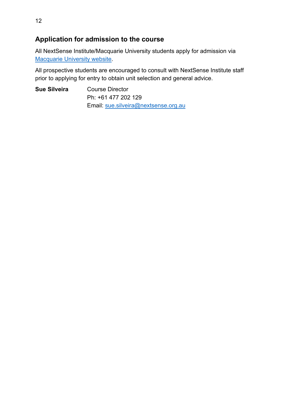#### <span id="page-15-0"></span>**Application for admission to the course**

All NextSense Institute/Macquarie University students apply for admission via [Macquarie University website.](https://courses.mq.edu.au/2022/domestic/postgraduate/master-of-disability-studies-sensory-disability)

All prospective students are encouraged to consult with NextSense Institute staff prior to applying for entry to obtain unit selection and general advice.

**Sue Silveira** Course Director Ph: +61 477 202 129 Email: [sue.silveira@nextsense.org.au](mailto:sue.silveira@nextsense.org.au)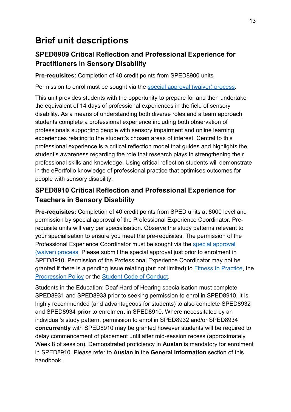# <span id="page-16-0"></span>**Brief unit descriptions**

## <span id="page-16-1"></span>**SPED8909 Critical Reflection and Professional Experience for Practitioners in Sensory Disability**

**Pre-requisites:** Completion of 40 credit points from SPED8900 units

Permission to enrol must be sought via the [special approval \(waiver\) process.](https://students.mq.edu.au/study/enrolling/choosing-units/unit-waivers/application-process)

This unit provides students with the opportunity to prepare for and then undertake the equivalent of 14 days of professional experiences in the field of sensory disability. As a means of understanding both diverse roles and a team approach, students complete a professional experience including both observation of professionals supporting people with sensory impairment and online learning experiences relating to the student's chosen areas of interest. Central to this professional experience is a critical reflection model that guides and highlights the student's awareness regarding the role that research plays in strengthening their professional skills and knowledge. Using critical reflection students will demonstrate in the ePortfolio knowledge of professional practice that optimises outcomes for people with sensory disability.

## <span id="page-16-2"></span>**SPED8910 Critical Reflection and Professional Experience for Teachers in Sensory Disability**

**Pre-requisites:** Completion of 40 credit points from SPED units at 8000 level and permission by special approval of the Professional Experience Coordinator. Prerequisite units will vary per specialisation. Observe the study patterns relevant to your specialisation to ensure you meet the pre-requisites. The permission of the Professional Experience Coordinator must be sought via the [special approval](https://students.mq.edu.au/study/enrolling/choosing-units/unit-waivers/application-process)  [\(waiver\) process.](https://students.mq.edu.au/study/enrolling/choosing-units/unit-waivers/application-process) Please submit the special approval just prior to enrolment in SPED8910. Permission of the Professional Experience Coordinator may not be granted if there is a pending issue relating (but not limited) to [Fitness to Practice,](https://students.mq.edu.au/study/my-study-program/academic-progression) the [Progression Policy](https://students.mq.edu.au/study/my-study-program/academic-progression) or the [Student Code of Conduct.](https://staff.mq.edu.au/work/strategy-planning-and-governance/university-policies-and-procedures/policies/student-code-of-conduct)

Students in the Education: Deaf Hard of Hearing specialisation must complete SPED8931 and SPED8933 prior to seeking permission to enrol in SPED8910. It is highly recommended (and advantageous for students) to also complete SPED8932 and SPED8934 **prior** to enrolment in SPED8910. Where necessitated by an individual's study pattern, permission to enrol in SPED8932 and/or SPED8934 **concurrently** with SPED8910 may be granted however students will be required to delay commencement of placement until after mid-session recess (approximately Week 8 of session). Demonstrated proficiency in **Auslan** is mandatory for enrolment in SPED8910. Please refer to **Auslan** in the **General Information** section of this handbook.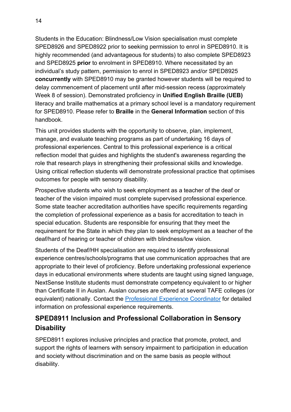Students in the Education: Blindness/Low Vision specialisation must complete SPED8926 and SPED8922 prior to seeking permission to enrol in SPED8910. It is highly recommended (and advantageous for students) to also complete SPED8923 and SPED8925 **prior** to enrolment in SPED8910. Where necessitated by an individual's study pattern, permission to enrol in SPED8923 and/or SPED8925 **concurrently** with SPED8910 may be granted however students will be required to delay commencement of placement until after mid-session recess (approximately Week 8 of session). Demonstrated proficiency in **Unified English Braille (UEB)** literacy and braille mathematics at a primary school level is a mandatory requirement for SPED8910. Please refer to **Braille** in the **General Information** section of this handbook.

This unit provides students with the opportunity to observe, plan, implement, manage, and evaluate teaching programs as part of undertaking 16 days of professional experiences. Central to this professional experience is a critical reflection model that guides and highlights the student's awareness regarding the role that research plays in strengthening their professional skills and knowledge. Using critical reflection students will demonstrate professional practice that optimises outcomes for people with sensory disability.

Prospective students who wish to seek employment as a teacher of the deaf or teacher of the vision impaired must complete supervised professional experience. Some state teacher accreditation authorities have specific requirements regarding the completion of professional experience as a basis for accreditation to teach in special education. Students are responsible for ensuring that they meet the requirement for the State in which they plan to seek employment as a teacher of the deaf/hard of hearing or teacher of children with blindness/low vision.

Students of the Deaf/HH specialisation are required to identify professional experience centres/schools/programs that use communication approaches that are appropriate to their level of proficiency. Before undertaking professional experience days in educational environments where students are taught using signed language, NextSense Institute students must demonstrate competency equivalent to or higher than Certificate II in Auslan. Auslan courses are offered at several TAFE colleges (or equivalent) nationally. Contact the [Professional Experience Coordinator](mailto:alison.hawkins-bond@nextsense.org.au) for detailed information on professional experience requirements.

## <span id="page-17-0"></span>**SPED8911 Inclusion and Professional Collaboration in Sensory Disability**

SPED8911 explores inclusive principles and practice that promote, protect, and support the rights of learners with sensory impairment to participation in education and society without discrimination and on the same basis as people without disability.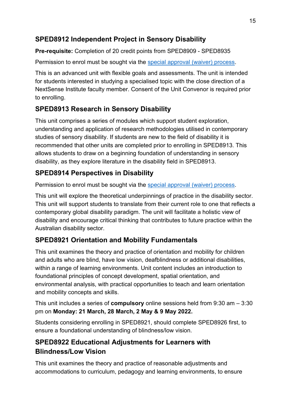## <span id="page-18-0"></span>**SPED8912 Independent Project in Sensory Disability**

**Pre-requisite:** Completion of 20 credit points from SPED8909 - SPED8935

Permission to enrol must be sought via the [special approval \(waiver\) process.](https://students.mq.edu.au/study/enrolling/choosing-units/unit-waivers/application-process)

This is an advanced unit with flexible goals and assessments. The unit is intended for students interested in studying a specialised topic with the close direction of a NextSense Institute faculty member. Consent of the Unit Convenor is required prior to enrolling.

## <span id="page-18-1"></span>**SPED8913 Research in Sensory Disability**

This unit comprises a series of modules which support student exploration, understanding and application of research methodologies utilised in contemporary studies of sensory disability. If students are new to the field of disability it is recommended that other units are completed prior to enrolling in SPED8913. This allows students to draw on a beginning foundation of understanding in sensory disability, as they explore literature in the disability field in SPED8913.

## <span id="page-18-2"></span>**SPED8914 Perspectives in Disability**

Permission to enrol must be sought via the [special approval \(waiver\) process.](https://students.mq.edu.au/study/enrolling/choosing-units/unit-waivers/application-process)

This unit will explore the theoretical underpinnings of practice in the disability sector. This unit will support students to translate from their current role to one that reflects a contemporary global disability paradigm. The unit will facilitate a holistic view of disability and encourage critical thinking that contributes to future practice within the Australian disability sector.

## <span id="page-18-3"></span>**SPED8921 Orientation and Mobility Fundamentals**

This unit examines the theory and practice of orientation and mobility for children and adults who are blind, have low vision, deafblindness or additional disabilities, within a range of learning environments. Unit content includes an introduction to foundational principles of concept development, spatial orientation, and environmental analysis, with practical opportunities to teach and learn orientation and mobility concepts and skills.

This unit includes a series of **compulsory** online sessions held from 9:30 am – 3:30 pm on **Monday: 21 March, 28 March, 2 May & 9 May 2022.**

Students considering enrolling in SPED8921, should complete SPED8926 first, to ensure a foundational understanding of blindness/low vision.

## <span id="page-18-4"></span>**SPED8922 Educational Adjustments for Learners with Blindness/Low Vision**

This unit examines the theory and practice of reasonable adjustments and accommodations to curriculum, pedagogy and learning environments, to ensure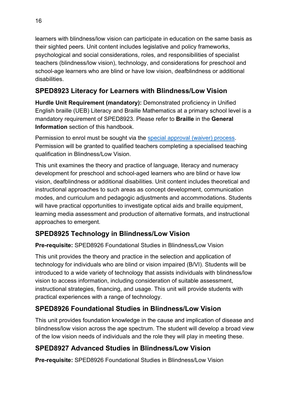learners with blindness/low vision can participate in education on the same basis as their sighted peers. Unit content includes legislative and policy frameworks, psychological and social considerations, roles, and responsibilities of specialist teachers (blindness/low vision), technology, and considerations for preschool and school-age learners who are blind or have low vision, deafblindness or additional disabilities.

## <span id="page-19-0"></span>**SPED8923 Literacy for Learners with Blindness/Low Vision**

**Hurdle Unit Requirement (mandatory):** Demonstrated proficiency in Unified English braille (UEB) Literacy and Braille Mathematics at a primary school level is a mandatory requirement of SPED8923. Please refer to **Braille** in the **General Information** section of this handbook.

Permission to enrol must be sought via the [special approval \(waiver\) process.](https://students.mq.edu.au/study/enrolling/choosing-units/unit-waivers/application-process) Permission will be granted to qualified teachers completing a specialised teaching qualification in Blindness/Low Vision.

This unit examines the theory and practice of language, literacy and numeracy development for preschool and school-aged learners who are blind or have low vision, deafblindness or additional disabilities. Unit content includes theoretical and instructional approaches to such areas as concept development, communication modes, and curriculum and pedagogic adjustments and accommodations. Students will have practical opportunities to investigate optical aids and braille equipment, learning media assessment and production of alternative formats, and instructional approaches to emergent.

## <span id="page-19-1"></span>**SPED8925 Technology in Blindness/Low Vision**

**Pre-requisite:** SPED8926 Foundational Studies in Blindness/Low Vision

This unit provides the theory and practice in the selection and application of technology for individuals who are blind or vision impaired (B/VI). Students will be introduced to a wide variety of technology that assists individuals with blindness/low vision to access information, including consideration of suitable assessment, instructional strategies, financing, and usage. This unit will provide students with practical experiences with a range of technology.

## <span id="page-19-2"></span>**SPED8926 Foundational Studies in Blindness/Low Vision**

This unit provides foundation knowledge in the cause and implication of disease and blindness/low vision across the age spectrum. The student will develop a broad view of the low vision needs of individuals and the role they will play in meeting these.

## <span id="page-19-3"></span>**SPED8927 Advanced Studies in Blindness/Low Vision**

**Pre-requisite:** SPED8926 Foundational Studies in Blindness/Low Vision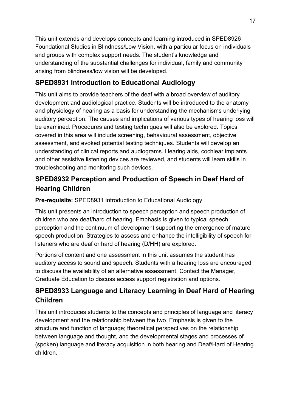This unit extends and develops concepts and learning introduced in SPED8926 Foundational Studies in Blindness/Low Vision, with a particular focus on individuals and groups with complex support needs. The student's knowledge and understanding of the substantial challenges for individual, family and community arising from blindness/low vision will be developed.

## <span id="page-20-0"></span>**SPED8931 Introduction to Educational Audiology**

This unit aims to provide teachers of the deaf with a broad overview of auditory development and audiological practice. Students will be introduced to the anatomy and physiology of hearing as a basis for understanding the mechanisms underlying auditory perception. The causes and implications of various types of hearing loss will be examined. Procedures and testing techniques will also be explored. Topics covered in this area will include screening, behavioural assessment, objective assessment, and evoked potential testing techniques. Students will develop an understanding of clinical reports and audiograms. Hearing aids, cochlear implants and other assistive listening devices are reviewed, and students will learn skills in troubleshooting and monitoring such devices.

## <span id="page-20-1"></span>**SPED8932 Perception and Production of Speech in Deaf Hard of Hearing Children**

#### **Pre-requisite:** SPED8931 Introduction to Educational Audiology

This unit presents an introduction to speech perception and speech production of children who are deaf/hard of hearing. Emphasis is given to typical speech perception and the continuum of development supporting the emergence of mature speech production. Strategies to assess and enhance the intelligibility of speech for listeners who are deaf or hard of hearing (D/HH) are explored.

Portions of content and one assessment in this unit assumes the student has auditory access to sound and speech. Students with a hearing loss are encouraged to discuss the availability of an alternative assessment. Contact the Manager, Graduate Education to discuss access support registration and options.

## <span id="page-20-2"></span>**SPED8933 Language and Literacy Learning in Deaf Hard of Hearing Children**

This unit introduces students to the concepts and principles of language and literacy development and the relationship between the two. Emphasis is given to the structure and function of language; theoretical perspectives on the relationship between language and thought, and the developmental stages and processes of (spoken) language and literacy acquisition in both hearing and Deaf/Hard of Hearing children.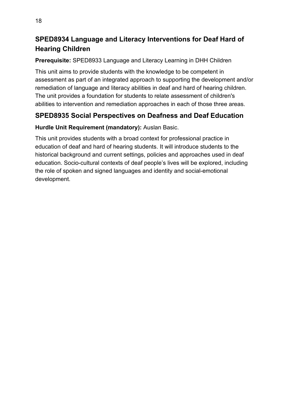## <span id="page-21-0"></span>**SPED8934 Language and Literacy Interventions for Deaf Hard of Hearing Children**

#### **Prerequisite:** SPED8933 Language and Literacy Learning in DHH Children

This unit aims to provide students with the knowledge to be competent in assessment as part of an integrated approach to supporting the development and/or remediation of language and literacy abilities in deaf and hard of hearing children. The unit provides a foundation for students to relate assessment of children's abilities to intervention and remediation approaches in each of those three areas.

## <span id="page-21-1"></span>**SPED8935 Social Perspectives on Deafness and Deaf Education**

#### **Hurdle Unit Requirement (mandatory):** Auslan Basic.

This unit provides students with a broad context for professional practice in education of deaf and hard of hearing students. It will introduce students to the historical background and current settings, policies and approaches used in deaf education. Socio-cultural contexts of deaf people's lives will be explored, including the role of spoken and signed languages and identity and social-emotional development.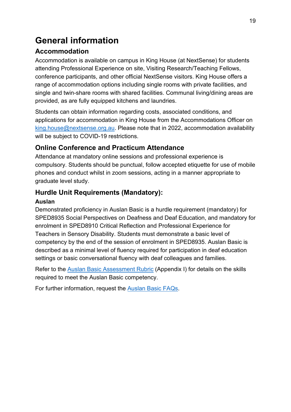# <span id="page-22-0"></span>**General information**

## <span id="page-22-1"></span>**Accommodation**

Accommodation is available on campus in King House (at NextSense) for students attending Professional Experience on site, Visiting Research/Teaching Fellows, conference participants, and other official NextSense visitors. King House offers a range of accommodation options including single rooms with private facilities, and single and twin-share rooms with shared facilities. Communal living/dining areas are provided, as are fully equipped kitchens and laundries.

Students can obtain information regarding costs, associated conditions, and applications for accommodation in King House from the Accommodations Officer on [king.house@nextsense.org.au.](mailto:king.house@nextsense.org.au) Please note that in 2022, accommodation availability will be subject to COVID-19 restrictions.

## <span id="page-22-2"></span>**Online Conference and Practicum Attendance**

Attendance at mandatory online sessions and professional experience is compulsory. Students should be punctual, follow accepted etiquette for use of mobile phones and conduct whilst in zoom sessions, acting in a manner appropriate to graduate level study.

## <span id="page-22-3"></span>**Hurdle Unit Requirements (Mandatory):**

#### <span id="page-22-4"></span>**Auslan**

Demonstrated proficiency in Auslan Basic is a hurdle requirement (mandatory) for SPED8935 Social Perspectives on Deafness and Deaf Education, and mandatory for enrolment in SPED8910 Critical Reflection and Professional Experience for Teachers in Sensory Disability. Students must demonstrate a basic level of competency by the end of the session of enrolment in SPED8935. Auslan Basic is described as a minimal level of fluency required for participation in deaf education settings or basic conversational fluency with deaf colleagues and families.

Refer to the [Auslan Basic Assessment Rubric](#page-29-1) (Appendix I) for details on the skills required to meet the Auslan Basic competency.

For further information, request the [Auslan Basic FAQs.](mailto:lena.karam@nextsense.org.au)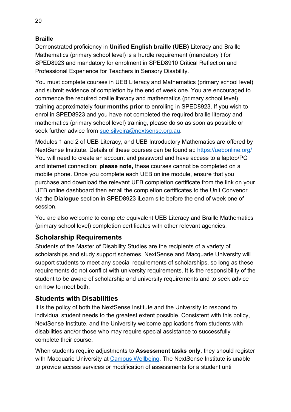#### <span id="page-23-0"></span>**Braille**

Demonstrated proficiency in **Unified English braille (UEB)** Literacy and Braille Mathematics (primary school level) is a hurdle requirement (mandatory ) for SPED8923 and mandatory for enrolment in SPED8910 Critical Reflection and Professional Experience for Teachers in Sensory Disability.

You must complete courses in UEB Literacy and Mathematics (primary school level) and submit evidence of completion by the end of week one. You are encouraged to commence the required braille literacy and mathematics (primary school level) training approximately **four months prior** to enrolling in SPED8923. If you wish to enrol in SPED8923 and you have not completed the required braille literacy and mathematics (primary school level) training, please do so as soon as possible or seek further advice from [sue.silveira@nextsense.org.au.](mailto:sue.silveira@nextsense.org.au)

Modules 1 and 2 of UEB Literacy, and UEB Introductory Mathematics are offered by NextSense Institute. Details of these courses can be found at:<https://uebonline.org/> You will need to create an account and password and have access to a laptop/PC and internet connection; **please note,** these courses cannot be completed on a mobile phone. Once you complete each UEB online module, ensure that you purchase and download the relevant UEB completion certificate from the link on your UEB online dashboard then email the completion certificates to the Unit Convenor via the **Dialogue** section in SPED8923 iLearn site before the end of week one of session.

You are also welcome to complete equivalent UEB Literacy and Braille Mathematics (primary school level) completion certificates with other relevant agencies.

#### <span id="page-23-1"></span>**Scholarship Requirements**

Students of the Master of Disability Studies are the recipients of a variety of scholarships and study support schemes. NextSense and Macquarie University will support students to meet any special requirements of scholarships, so long as these requirements do not conflict with university requirements. It is the responsibility of the student to be aware of scholarship and university requirements and to seek advice on how to meet both.

#### <span id="page-23-2"></span>**Students with Disabilities**

It is the policy of both the NextSense Institute and the University to respond to individual student needs to the greatest extent possible. Consistent with this policy, NextSense Institute, and the University welcome applications from students with disabilities and/or those who may require special assistance to successfully complete their course.

When students require adjustments to **Assessment tasks only**, they should register with Macquarie University at [Campus Wellbeing.](http://students.mq.edu.au/support/health_and_wellbeing/disability_service/) The NextSense Institute is unable to provide access services or modification of assessments for a student until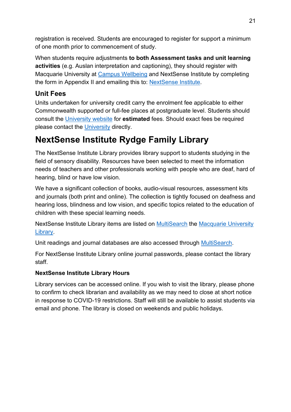registration is received. Students are encouraged to register for support a minimum of one month prior to commencement of study.

When students require adjustments **to both Assessment tasks and unit learning activities** (e.g. Auslan interpretation and captioning), they should register with Macquarie University at [Campus Wellbeing](http://students.mq.edu.au/support/health_and_wellbeing/disability_service/) and NextSense Institute by completing the form in Appendix II and emailing this to: [NextSense Institute.](mailto:institute@nextsense.org.au)

#### <span id="page-24-0"></span>**Unit Fees**

Units undertaken for university credit carry the enrolment fee applicable to either Commonwealth supported or full-fee places at postgraduate level. Students should consult the [University website](https://courses.mq.edu.au/2022/domestic/postgraduate/master-of-disability-studies-sensory-disability) for **estimated** fees. Should exact fees be required please contact the [University](https://www.mq.edu.au/study/admissions/fees-and-costs) directly.

# <span id="page-24-1"></span>**NextSense Institute Rydge Family Library**

The NextSense Institute Library provides library support to students studying in the field of sensory disability. Resources have been selected to meet the information needs of teachers and other professionals working with people who are deaf, hard of hearing, blind or have low vision.

We have a significant collection of books, audio-visual resources, assessment kits and journals (both print and online). The collection is tightly focused on deafness and hearing loss, blindness and low vision, and specific topics related to the education of children with these special learning needs.

NextSense Institute Library items are listed on [MultiSearch](https://multisearch.mq.edu.au/) the [Macquarie University](http://www.mq.edu.au/about/campus-services-and-facilities/library)  [Library.](http://www.mq.edu.au/about/campus-services-and-facilities/library)

Unit readings and journal databases are also accessed through [MultiSearch.](https://multisearch.mq.edu.au/)

For NextSense Institute Library online journal passwords, please contact the library staff.

#### **NextSense Institute Library Hours**

Library services can be accessed online. If you wish to visit the library, please phone to confirm to check librarian and availability as we may need to close at short notice in response to COVID-19 restrictions. Staff will still be available to assist students via email and phone. The library is closed on weekends and public holidays.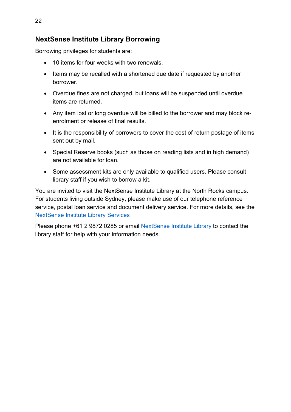#### <span id="page-25-0"></span>**NextSense Institute Library Borrowing**

Borrowing privileges for students are:

- 10 items for four weeks with two renewals.
- Items may be recalled with a shortened due date if requested by another borrower.
- Overdue fines are not charged, but loans will be suspended until overdue items are returned.
- Any item lost or long overdue will be billed to the borrower and may block reenrolment or release of final results.
- It is the responsibility of borrowers to cover the cost of return postage of items sent out by mail.
- Special Reserve books (such as those on reading lists and in high demand) are not available for loan.
- Some assessment kits are only available to qualified users. Please consult library staff if you wish to borrow a kit.

You are invited to visit the NextSense Institute Library at the North Rocks campus. For students living outside Sydney, please make use of our telephone reference service, postal loan service and document delivery service. For more details, see the [NextSense Institute Library Services](https://www.nextsense.org.au/professional-development/library)

Please phone +61 2 9872 0285 or email NextSense [Institute Library](mailto:institute.library@nextsense.org.au) to contact the library staff for help with your information needs.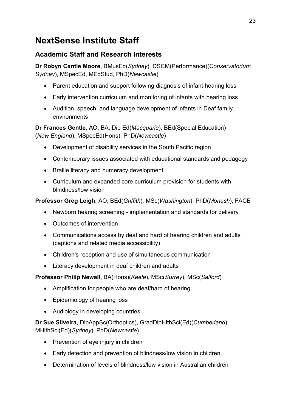# <span id="page-26-0"></span>**NextSense Institute Staff**

## <span id="page-26-1"></span>**Academic Staff and Research Interests**

**Dr Robyn Cantle Moore**, BMusEd(*Sydney*), DSCM(Performance)(*Conservatorium Sydney*), MSpecEd, MEdStud, PhD(*Newcastle*)

- Parent education and support following diagnosis of infant hearing loss
- Early intervention curriculum and monitoring of infants with hearing loss
- Audition, speech, and language development of infants in Deaf family environments

**Dr Frances Gentle**, AO, BA, Dip Ed(*Macquarie*), BEd(Special Education) (*New England*), MSpecEd(Hons), PhD(*Newcastle*)

- Development of disability services in the South Pacific region
- Contemporary issues associated with educational standards and pedagogy
- Braille literacy and numeracy development
- Curriculum and expanded core curriculum provision for students with blindness/low vision

**Professor Greg Leigh**, AO, BEd(*Griffith*), MSc(*Washington*), PhD(*Monash*), FACE

- Newborn hearing screening implementation and standards for delivery
- Outcomes of intervention
- Communications access by deaf and hard of hearing children and adults (captions and related media accessibility)
- Children's reception and use of simultaneous communication
- Literacy development in deaf children and adults

**Professor Philip Newall**, BA(Hons)(*Keele*), MSc(*Surrey*), MSc(*Salford*)

- Amplification for people who are deaf/hard of hearing
- Epidemiology of hearing loss
- Audiology in developing countries

**Dr Sue Silveira**, DipAppSc(Orthoptics), GradDipHlthSci(Ed)(*Cumberland*), MHlthSci(Ed)(*Sydney*), PhD(*Newcastle*)

- Prevention of eye injury in children
- Early detection and prevention of blindness/low vision in children
- Determination of levels of blindness/low vision in Australian children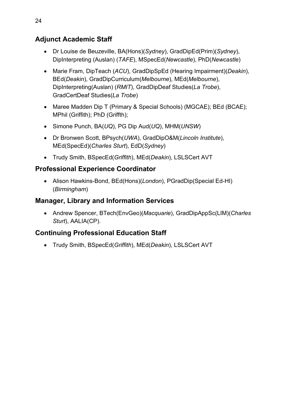#### <span id="page-27-0"></span>**Adjunct Academic Staff**

- Dr Louise de Beuzeville, BA(Hons)(*Sydney*), GradDipEd(Prim)(*Sydney*), DipInterpreting (Auslan) (*TAFE*), MSpecEd(*Newcastle*), PhD(*Newcastle*)
- Marie Fram, DipTeach (*ACU*), GradDipSpEd (Hearing Impairment)(*Deakin*), BEd(*Deakin*), GradDipCurriculum(*Melbourne*), MEd(*Melbourne*), DipInterpreting(Auslan) (*RMIT*), GradDipDeaf Studies(*La Trobe*), GradCertDeaf Studies(*La Trobe*)
- Maree Madden Dip T (Primary & Special Schools) (MGCAE); BEd (BCAE); MPhil (Griffith); PhD (Griffth);
- Simone Punch, BA(*UQ*), PG Dip Aud(*UQ*), MHM(*UNSW*)
- Dr Bronwen Scott, BPsych(*UWA*), GradDipO&M(*Lincoln Institute*), MEd(SpecEd)(*Charles Sturt*), EdD(*Sydney*)
- Trudy Smith, BSpecEd(*Griffith*), MEd(*Deakin*), LSLSCert AVT

#### <span id="page-27-1"></span>**Professional Experience Coordinator**

• Alison Hawkins-Bond, BEd(Hons)(*London*), PGradDip(Special Ed-HI) (*Birmingham*)

#### <span id="page-27-2"></span>**Manager, Library and Information Services**

• Andrew Spencer, BTech(EnvGeo)(*Macquarie*), GradDipAppSc(LIM)(*Charles Sturt*), AALIA(CP).

#### <span id="page-27-3"></span>**Continuing Professional Education Staff**

• Trudy Smith, BSpecEd(*Griffith*), MEd(*Deakin*), LSLSCert AVT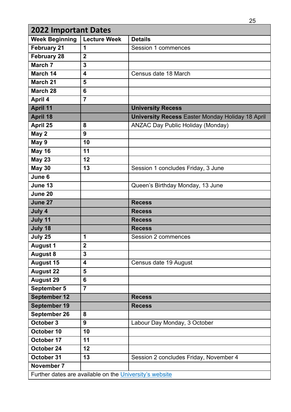<span id="page-28-0"></span>

|                                                         | <b>2022 Important Dates</b> |                                                         |  |  |  |
|---------------------------------------------------------|-----------------------------|---------------------------------------------------------|--|--|--|
| <b>Week Beginning</b>                                   | <b>Lecture Week</b>         | <b>Details</b>                                          |  |  |  |
| <b>February 21</b>                                      | 1                           | <b>Session 1 commences</b>                              |  |  |  |
| <b>February 28</b>                                      | $\overline{2}$              |                                                         |  |  |  |
| March 7                                                 | $\overline{3}$              |                                                         |  |  |  |
| March 14                                                | $\overline{\mathbf{4}}$     | Census date 18 March                                    |  |  |  |
| March 21                                                | 5                           |                                                         |  |  |  |
| <b>March 28</b>                                         | 6                           |                                                         |  |  |  |
| April 4                                                 | $\overline{7}$              |                                                         |  |  |  |
| <b>April 11</b>                                         |                             | <b>University Recess</b>                                |  |  |  |
| <b>April 18</b>                                         |                             | <b>University Recess Easter Monday Holiday 18 April</b> |  |  |  |
| April 25                                                | 8                           | <b>ANZAC Day Public Holiday (Monday)</b>                |  |  |  |
| May 2                                                   | 9                           |                                                         |  |  |  |
| May 9                                                   | 10                          |                                                         |  |  |  |
| <b>May 16</b>                                           | 11                          |                                                         |  |  |  |
| <b>May 23</b>                                           | 12                          |                                                         |  |  |  |
| <b>May 30</b>                                           | 13                          | Session 1 concludes Friday, 3 June                      |  |  |  |
| June 6                                                  |                             |                                                         |  |  |  |
| June 13                                                 |                             | Queen's Birthday Monday, 13 June                        |  |  |  |
| June 20                                                 |                             |                                                         |  |  |  |
| June 27                                                 |                             | <b>Recess</b>                                           |  |  |  |
| July 4                                                  |                             | <b>Recess</b>                                           |  |  |  |
| July 11                                                 |                             | <b>Recess</b>                                           |  |  |  |
| July 18                                                 |                             | <b>Recess</b>                                           |  |  |  |
| July 25                                                 | 1                           | <b>Session 2 commences</b>                              |  |  |  |
| <b>August 1</b>                                         | $\mathbf 2$                 |                                                         |  |  |  |
| <b>August 8</b>                                         | 3                           |                                                         |  |  |  |
| <b>August 15</b>                                        | $\overline{\mathbf{4}}$     | Census date 19 August                                   |  |  |  |
| <b>August 22</b>                                        | 5                           |                                                         |  |  |  |
| <b>August 29</b>                                        | 6                           |                                                         |  |  |  |
| September 5                                             | $\overline{7}$              |                                                         |  |  |  |
| September 12                                            |                             | <b>Recess</b>                                           |  |  |  |
| <b>September 19</b>                                     |                             | <b>Recess</b>                                           |  |  |  |
| September 26                                            | 8                           |                                                         |  |  |  |
| October 3                                               | 9                           | Labour Day Monday, 3 October                            |  |  |  |
| October 10                                              | 10                          |                                                         |  |  |  |
| October 17                                              | 11                          |                                                         |  |  |  |
| October 24                                              | 12                          |                                                         |  |  |  |
| October 31                                              | 13                          | Session 2 concludes Friday, November 4                  |  |  |  |
| November 7                                              |                             |                                                         |  |  |  |
| Further dates are available on the University's website |                             |                                                         |  |  |  |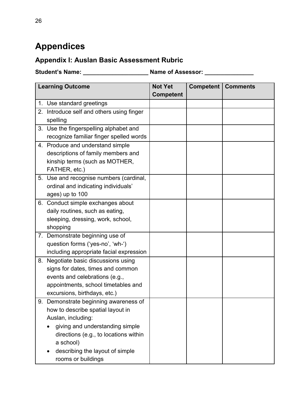# <span id="page-29-0"></span>**Appendices**

## <span id="page-29-1"></span>**Appendix I: Auslan Basic Assessment Rubric**

**Student's Name: \_\_\_\_\_\_\_\_\_\_\_\_\_\_\_\_\_\_\_\_ Name of Assessor: \_\_\_\_\_\_\_\_\_\_\_\_\_\_\_**

|    | <b>Learning Outcome</b>                   | <b>Not Yet</b>   | <b>Competent   Comments</b> |  |
|----|-------------------------------------------|------------------|-----------------------------|--|
|    |                                           | <b>Competent</b> |                             |  |
|    | 1. Use standard greetings                 |                  |                             |  |
|    | 2. Introduce self and others using finger |                  |                             |  |
|    | spelling                                  |                  |                             |  |
|    | 3. Use the fingerspelling alphabet and    |                  |                             |  |
|    | recognize familiar finger spelled words   |                  |                             |  |
|    | 4. Produce and understand simple          |                  |                             |  |
|    | descriptions of family members and        |                  |                             |  |
|    | kinship terms (such as MOTHER,            |                  |                             |  |
|    | FATHER, etc.)                             |                  |                             |  |
|    | 5. Use and recognise numbers (cardinal,   |                  |                             |  |
|    | ordinal and indicating individuals'       |                  |                             |  |
|    | ages) up to 100                           |                  |                             |  |
|    | 6. Conduct simple exchanges about         |                  |                             |  |
|    | daily routines, such as eating,           |                  |                             |  |
|    | sleeping, dressing, work, school,         |                  |                             |  |
|    | shopping                                  |                  |                             |  |
|    | 7. Demonstrate beginning use of           |                  |                             |  |
|    | question forms ('yes-no', 'wh-')          |                  |                             |  |
|    | including appropriate facial expression   |                  |                             |  |
| 8. | Negotiate basic discussions using         |                  |                             |  |
|    | signs for dates, times and common         |                  |                             |  |
|    | events and celebrations (e.g.,            |                  |                             |  |
|    | appointments, school timetables and       |                  |                             |  |
|    | excursions, birthdays, etc.)              |                  |                             |  |
|    | 9. Demonstrate beginning awareness of     |                  |                             |  |
|    | how to describe spatial layout in         |                  |                             |  |
|    | Auslan, including:                        |                  |                             |  |
|    | giving and understanding simple           |                  |                             |  |
|    | directions (e.g., to locations within     |                  |                             |  |
|    | a school)                                 |                  |                             |  |
|    | describing the layout of simple           |                  |                             |  |
|    | rooms or buildings                        |                  |                             |  |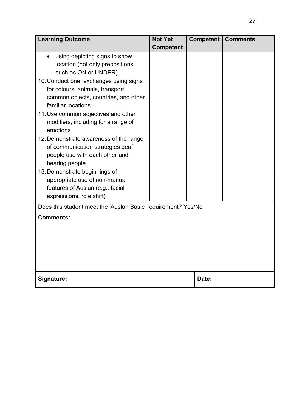|                                                               | <b>Competent</b> |       |  |
|---------------------------------------------------------------|------------------|-------|--|
| using depicting signs to show                                 |                  |       |  |
| location (not only prepositions                               |                  |       |  |
| such as ON or UNDER)                                          |                  |       |  |
| 10. Conduct brief exchanges using signs                       |                  |       |  |
| for colours, animals, transport,                              |                  |       |  |
| common objects, countries, and other                          |                  |       |  |
| familiar locations                                            |                  |       |  |
| 11. Use common adjectives and other                           |                  |       |  |
| modifiers, including for a range of                           |                  |       |  |
| emotions                                                      |                  |       |  |
| 12. Demonstrate awareness of the range                        |                  |       |  |
| of communication strategies deaf                              |                  |       |  |
| people use with each other and                                |                  |       |  |
| hearing people                                                |                  |       |  |
| 13. Demonstrate beginnings of                                 |                  |       |  |
| appropriate use of non-manual                                 |                  |       |  |
| features of Auslan (e.g., facial                              |                  |       |  |
| expressions, role shift)                                      |                  |       |  |
| Does this student meet the 'Auslan Basic' requirement? Yes/No |                  |       |  |
| <b>Comments:</b>                                              |                  |       |  |
|                                                               |                  |       |  |
|                                                               |                  |       |  |
|                                                               |                  |       |  |
|                                                               |                  |       |  |
|                                                               |                  |       |  |
| Signature:                                                    |                  | Date: |  |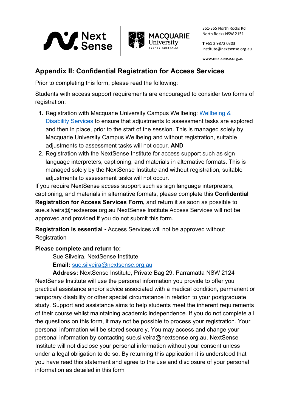

361-365 North Rocks Rd North Rocks NSW 2151

**T** +61 2 9872 0303 institute@nextsense.org.au

www.nextsense.org.au

#### <span id="page-31-0"></span>**Appendix II: Confidential Registration for Access Services**

Prior to completing this form, please read the following:

Students with access support requirements are encouraged to consider two forms of registration:

- **1.** Registration with Macquarie University Campus Wellbeing: [Wellbeing &](https://students.mq.edu.au/support/accessibility-disability)  [Disability Services](https://students.mq.edu.au/support/accessibility-disability) to ensure that adjustments to assessment tasks are explored and then in place, prior to the start of the session. This is managed solely by Macquarie University Campus Wellbeing and without registration, suitable adjustments to assessment tasks will not occur. **AND**
- 2. Registration with the NextSense Institute for access support such as sign language interpreters, captioning, and materials in alternative formats. This is managed solely by the NextSense Institute and without registration, suitable adjustments to assessment tasks will not occur.

If you require NextSense access support such as sign language interpreters, captioning, and materials in alternative formats, please complete this **Confidential Registration for Access Services Form,** and return it as soon as possible to sue.silveira@nextsense.org.au NextSense Institute Access Services will not be approved and provided if you do not submit this form.

**Registration is essential -** Access Services will not be approved without **Registration** 

#### **Please complete and return to:**

Sue Silveira, NextSense Institute

**Email:** [sue.silveira@nextsense.org.au](mailto:sue.silveira@nextsense.org.au)

**Address:** NextSense Institute, Private Bag 29, Parramatta NSW 2124 NextSense Institute will use the personal information you provide to offer you practical assistance and/or advice associated with a medical condition, permanent or temporary disability or other special circumstance in relation to your postgraduate study. Support and assistance aims to help students meet the inherent requirements of their course whilst maintaining academic independence. If you do not complete all the questions on this form, it may not be possible to process your registration. Your personal information will be stored securely. You may access and change your personal information by contacting sue.silveira@nextsense.org.au. NextSense Institute will not disclose your personal information without your consent unless under a legal obligation to do so. By returning this application it is understood that you have read this statement and agree to the use and disclosure of your personal information as detailed in this form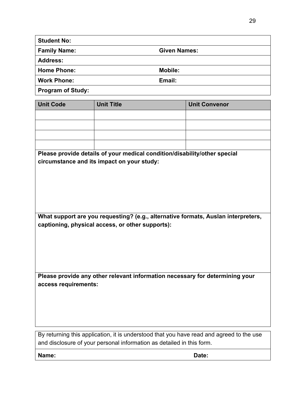| <b>Student No:</b>            |                     |  |
|-------------------------------|---------------------|--|
| <b>Family Name:</b>           | <b>Given Names:</b> |  |
| <b>Address:</b>               |                     |  |
| <b>Home Phone:</b>            | <b>Mobile:</b>      |  |
| <b>Work Phone:</b>            | Email:              |  |
| $\overline{\phantom{a}}$<br>. |                     |  |

**Program of Study:**

| <b>Unit Code</b>                                                                         | <b>Unit Title</b>                                                         | <b>Unit Convenor</b> |
|------------------------------------------------------------------------------------------|---------------------------------------------------------------------------|----------------------|
|                                                                                          |                                                                           |                      |
|                                                                                          |                                                                           |                      |
|                                                                                          |                                                                           |                      |
|                                                                                          |                                                                           |                      |
|                                                                                          | Please provide details of your medical condition/disability/other special |                      |
| circumstance and its impact on your study:                                               |                                                                           |                      |
|                                                                                          |                                                                           |                      |
|                                                                                          |                                                                           |                      |
|                                                                                          |                                                                           |                      |
|                                                                                          |                                                                           |                      |
|                                                                                          |                                                                           |                      |
| What support are you requesting? (e.g., alternative formats, Auslan interpreters,        |                                                                           |                      |
| captioning, physical access, or other supports):                                         |                                                                           |                      |
|                                                                                          |                                                                           |                      |
|                                                                                          |                                                                           |                      |
|                                                                                          |                                                                           |                      |
|                                                                                          |                                                                           |                      |
| Please provide any other relevant information necessary for determining your             |                                                                           |                      |
| access requirements:                                                                     |                                                                           |                      |
|                                                                                          |                                                                           |                      |
|                                                                                          |                                                                           |                      |
|                                                                                          |                                                                           |                      |
|                                                                                          |                                                                           |                      |
| By returning this application, it is understood that you have read and agreed to the use |                                                                           |                      |

and disclosure of your personal information as detailed in this form.

**Name: Date:**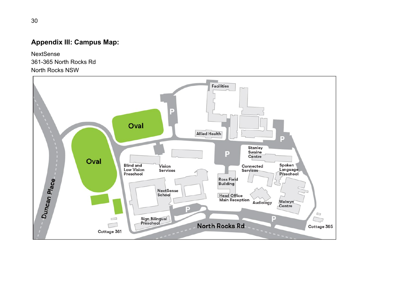## **Appendix III: Campus Map:**

NextSense 361-365 North Rocks Rd North Rocks NSW

<span id="page-33-0"></span>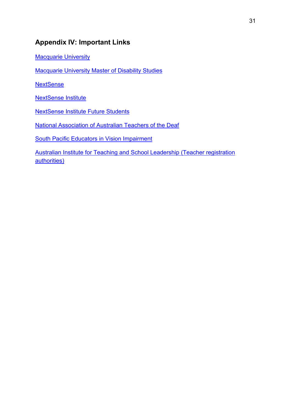#### <span id="page-34-0"></span>**Appendix IV: Important Links**

[Macquarie University](https://www.mq.edu.au/)

[Macquarie University Master of Disability Studies](https://courses.mq.edu.au/2021/domestic/postgraduate/master-of-disability-studies-education-deaf-hard-of-hearing)

**[NextSense](https://www.nextsense.org.au/)** 

[NextSense Institute](https://www.nextsense.org.au/professional-development) 

[NextSense Institute Future Students](https://www.nextsense.org.au/professional-development/postgraduate-study) 

[National Association of Australian Teachers of the Deaf](http://www.naatd.com.au/)

[South Pacific Educators in Vision Impairment](http://www.spevi.net/)

[Australian Institute for Teaching and School Leadership \(Teacher registration](https://www.aitsl.edu.au/find-your-local-regulatory-authority)  [authorities\)](https://www.aitsl.edu.au/find-your-local-regulatory-authority)